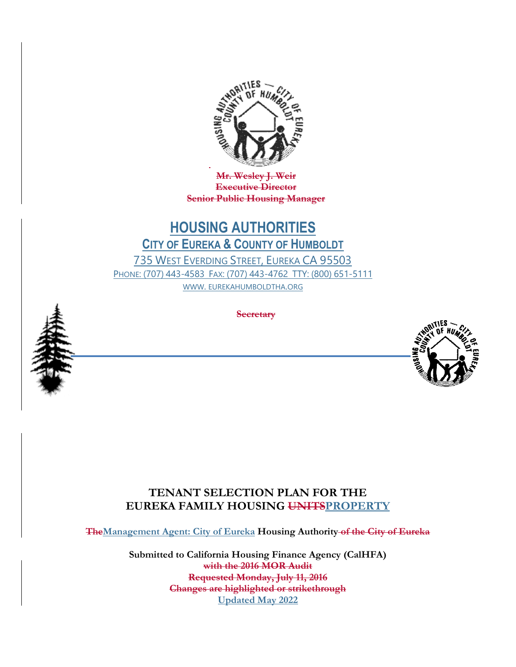

**Mr. Wesley J. Weir Executive Director Senior Public Housing Manager**

# **HOUSING AUTHORITIES CITY OF EUREKA & COUNTY OF HUMBOLDT** 735 WEST EVERDING STREET, EUREKA CA 95503 PHONE: (707) 443-4583 FAX: (707) 443-4762 TTY: (800) 651-5111

WWW. EUREKAHUMBOLDTHA.ORG



**Secretary**



## **TENANT SELECTION PLAN FOR THE EUREKA FAMILY HOUSING UNITSPROPERTY**

**TheManagement Agent: City of Eureka Housing Authority of the City of Eureka**

**Submitted to California Housing Finance Agency (CalHFA) with the 2016 MOR Audit Requested Monday, July 11, 2016 Changes are highlighted or strikethrough Updated May 2022**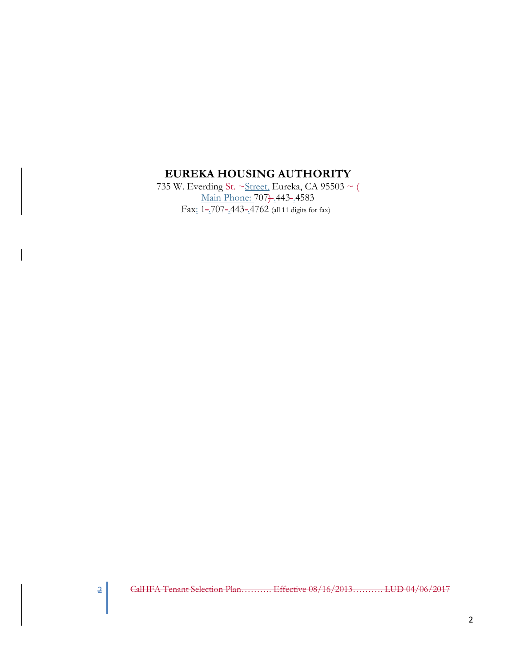## **EUREKA HOUSING AUTHORITY**

735 W. Everding St. ~ Street, Eureka, CA 95503 ~ ( Main Phone: 707) .443-.4583 Fax: 1-2707-2443-24762 (all 11 digits for fax)

2 CalHFA Tenant Selection Plan.......... Effective 08/16/2013.......... LUD 04/06/2017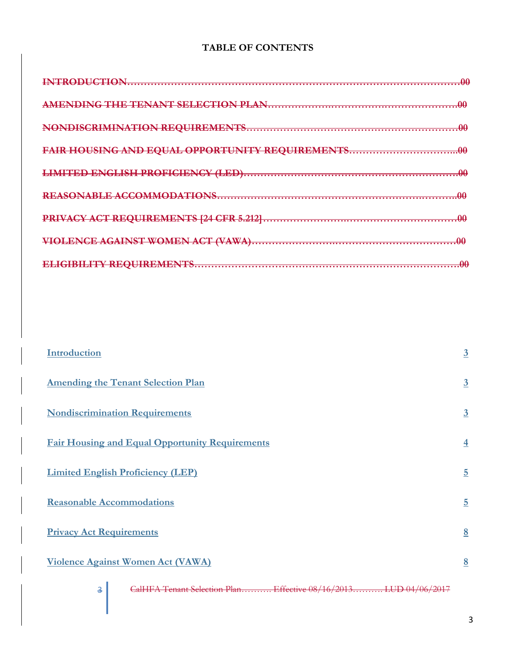## **TABLE OF CONTENTS**

| <b>FDANICTION</b>                               |  |
|-------------------------------------------------|--|
|                                                 |  |
|                                                 |  |
| FAIR HOUSING AND EQUAL OPPORTUNITY REQUIREMENTS |  |
|                                                 |  |
|                                                 |  |
|                                                 |  |
|                                                 |  |
|                                                 |  |

| Introduction                                                          | $\overline{3}$ |
|-----------------------------------------------------------------------|----------------|
| <b>Amending the Tenant Selection Plan</b>                             | $\overline{3}$ |
| <b>Nondiscrimination Requirements</b>                                 | $\overline{3}$ |
| <b>Fair Housing and Equal Opportunity Requirements</b>                | $\overline{4}$ |
| <b>Limited English Proficiency (LEP)</b>                              | $\overline{5}$ |
| <b>Reasonable Accommodations</b>                                      | $\overline{5}$ |
| <b>Privacy Act Requirements</b>                                       | 8              |
| Violence Against Women Act (VAWA)                                     | 8              |
| CalHFA Tenant Selection Plan Effective 08/16/2013 LUD 04/06/2017<br>3 |                |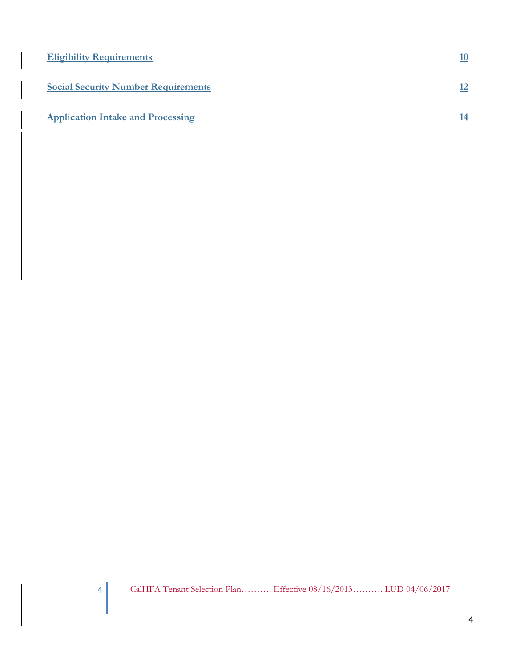| <b>Eligibility Requirements</b>            | 10 |
|--------------------------------------------|----|
| <b>Social Security Number Requirements</b> | 12 |
| <b>Application Intake and Processing</b>   | 14 |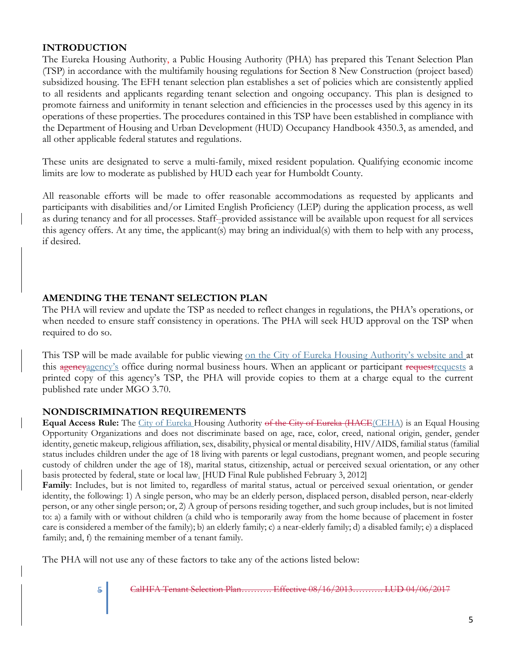#### **INTRODUCTION**

The Eureka Housing Authority, a Public Housing Authority (PHA) has prepared this Tenant Selection Plan (TSP) in accordance with the multifamily housing regulations for Section 8 New Construction (project based) subsidized housing. The EFH tenant selection plan establishes a set of policies which are consistently applied to all residents and applicants regarding tenant selection and ongoing occupancy. This plan is designed to promote fairness and uniformity in tenant selection and efficiencies in the processes used by this agency in its operations of these properties. The procedures contained in this TSP have been established in compliance with the Department of Housing and Urban Development (HUD) Occupancy Handbook 4350.3, as amended, and all other applicable federal statutes and regulations.

These units are designated to serve a multi-family, mixed resident population. Qualifying economic income limits are low to moderate as published by HUD each year for Humboldt County.

All reasonable efforts will be made to offer reasonable accommodations as requested by applicants and participants with disabilities and/or Limited English Proficiency (LEP) during the application process, as well as during tenancy and for all processes. Staff--provided assistance will be available upon request for all services this agency offers. At any time, the applicant(s) may bring an individual(s) with them to help with any process, if desired.

#### **AMENDING THE TENANT SELECTION PLAN**

The PHA will review and update the TSP as needed to reflect changes in regulations, the PHA's operations, or when needed to ensure staff consistency in operations. The PHA will seek HUD approval on the TSP when required to do so.

This TSP will be made available for public viewing on the City of Eureka Housing Authority's website and at this agency<sub>agency's</sub> office during normal business hours. When an applicant or participant requestrequests a printed copy of this agency's TSP, the PHA will provide copies to them at a charge equal to the current published rate under MGO 3.70.

#### **NONDISCRIMINATION REQUIREMENTS**

**Equal Access Rule:** The City of Eureka Housing Authority of the City of Eureka (HACE(CEHA) is an Equal Housing Opportunity Organizations and does not discriminate based on age, race, color, creed, national origin, gender, gender identity, genetic makeup, religious affiliation, sex, disability, physical or mental disability, HIV/AIDS, familial status (familial status includes children under the age of 18 living with parents or legal custodians, pregnant women, and people securing custody of children under the age of 18), marital status, citizenship, actual or perceived sexual orientation, or any other basis protected by federal, state or local law. [HUD Final Rule published February 3, 2012]

**Family**: Includes, but is not limited to, regardless of marital status, actual or perceived sexual orientation, or gender identity, the following: 1) A single person, who may be an elderly person, displaced person, disabled person, near-elderly person, or any other single person; or, 2) A group of persons residing together, and such group includes, but is not limited to: a) a family with or without children (a child who is temporarily away from the home because of placement in foster care is considered a member of the family); b) an elderly family; c) a near-elderly family; d) a disabled family; e) a displaced family; and, f) the remaining member of a tenant family.

The PHA will not use any of these factors to take any of the actions listed below: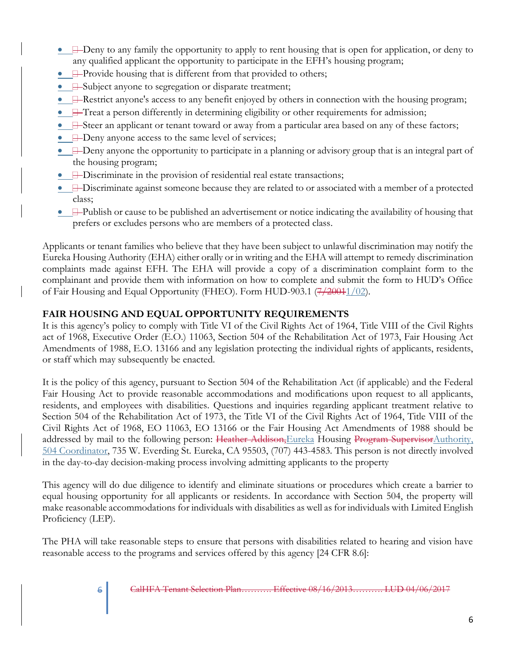- $\Box$  Deny to any family the opportunity to apply to rent housing that is open for application, or deny to any qualified applicant the opportunity to participate in the EFH's housing program;
- $\bullet$   $\Box$  Provide housing that is different from that provided to others;
- **B**-Subject anyone to segregation or disparate treatment;
- $\Box$ -Restrict anyone's access to any benefit enjoyed by others in connection with the housing program;
- $\Box$  Treat a person differently in determining eligibility or other requirements for admission;
- $\Box$ -Steer an applicant or tenant toward or away from a particular area based on any of these factors;
- **I**-Deny anyone access to the same level of services;
- $\Box$  Deny anyone the opportunity to participate in a planning or advisory group that is an integral part of the housing program;
- **I**-Discriminate in the provision of residential real estate transactions;
- $\Box$ -Discriminate against someone because they are related to or associated with a member of a protected class;
- $\Box$ -Publish or cause to be published an advertisement or notice indicating the availability of housing that prefers or excludes persons who are members of a protected class.

Applicants or tenant families who believe that they have been subject to unlawful discrimination may notify the Eureka Housing Authority (EHA) either orally or in writing and the EHA will attempt to remedy discrimination complaints made against EFH. The EHA will provide a copy of a discrimination complaint form to the complainant and provide them with information on how to complete and submit the form to HUD's Office of Fair Housing and Equal Opportunity (FHEO). Form HUD-903.1 (7/20011/02).

## **FAIR HOUSING AND EQUAL OPPORTUNITY REQUIREMENTS**

It is this agency's policy to comply with Title VI of the Civil Rights Act of 1964, Title VIII of the Civil Rights act of 1968, Executive Order (E.O.) 11063, Section 504 of the Rehabilitation Act of 1973, Fair Housing Act Amendments of 1988, E.O. 13166 and any legislation protecting the individual rights of applicants, residents, or staff which may subsequently be enacted.

It is the policy of this agency, pursuant to Section 504 of the Rehabilitation Act (if applicable) and the Federal Fair Housing Act to provide reasonable accommodations and modifications upon request to all applicants, residents, and employees with disabilities. Questions and inquiries regarding applicant treatment relative to Section 504 of the Rehabilitation Act of 1973, the Title VI of the Civil Rights Act of 1964, Title VIII of the Civil Rights Act of 1968, EO 11063, EO 13166 or the Fair Housing Act Amendments of 1988 should be addressed by mail to the following person: Heather Addison, Eureka Housing Program Supervisor Authority, 504 Coordinator, 735 W. Everding St. Eureka, CA 95503, (707) 443-4583. This person is not directly involved in the day-to-day decision-making process involving admitting applicants to the property

This agency will do due diligence to identify and eliminate situations or procedures which create a barrier to equal housing opportunity for all applicants or residents. In accordance with Section 504, the property will make reasonable accommodations for individuals with disabilities as well as for individuals with Limited English Proficiency (LEP).

The PHA will take reasonable steps to ensure that persons with disabilities related to hearing and vision have reasonable access to the programs and services offered by this agency [24 CFR 8.6]: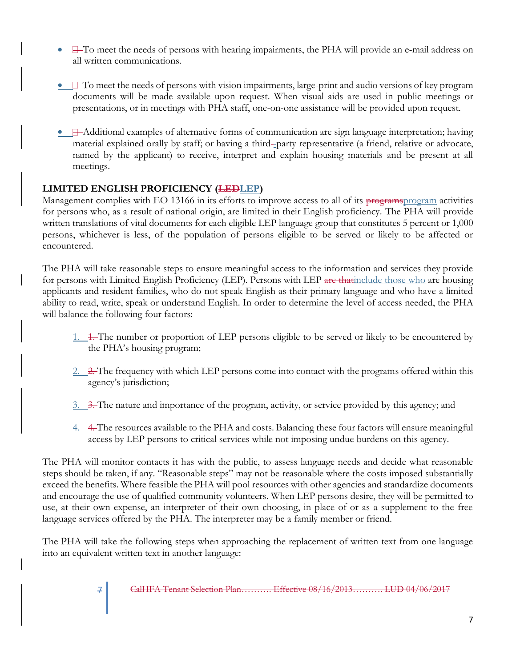- $\bullet$   $\Box$  To meet the needs of persons with hearing impairments, the PHA will provide an e-mail address on all written communications.
- $\bullet$   $\Box$  To meet the needs of persons with vision impairments, large-print and audio versions of key program documents will be made available upon request. When visual aids are used in public meetings or presentations, or in meetings with PHA staff, one-on-one assistance will be provided upon request.
- $\Box$ —Additional examples of alternative forms of communication are sign language interpretation; having material explained orally by staff; or having a third-party representative (a friend, relative or advocate, named by the applicant) to receive, interpret and explain housing materials and be present at all meetings.

## **LIMITED ENGLISH PROFICIENCY (LEDLEP)**

Management complies with EO 13166 in its efforts to improve access to all of its programsprogram activities for persons who, as a result of national origin, are limited in their English proficiency. The PHA will provide written translations of vital documents for each eligible LEP language group that constitutes 5 percent or 1,000 persons, whichever is less, of the population of persons eligible to be served or likely to be affected or encountered.

The PHA will take reasonable steps to ensure meaningful access to the information and services they provide for persons with Limited English Proficiency (LEP). Persons with LEP are that include those who are housing applicants and resident families, who do not speak English as their primary language and who have a limited ability to read, write, speak or understand English. In order to determine the level of access needed, the PHA will balance the following four factors:

- 1. 1. The number or proportion of LEP persons eligible to be served or likely to be encountered by the PHA's housing program;
- 2. 2. The frequency with which LEP persons come into contact with the programs offered within this agency's jurisdiction;
- 3. 3. The nature and importance of the program, activity, or service provided by this agency; and
- 4. 4. The resources available to the PHA and costs. Balancing these four factors will ensure meaningful access by LEP persons to critical services while not imposing undue burdens on this agency.

The PHA will monitor contacts it has with the public, to assess language needs and decide what reasonable steps should be taken, if any. "Reasonable steps" may not be reasonable where the costs imposed substantially exceed the benefits. Where feasible the PHA will pool resources with other agencies and standardize documents and encourage the use of qualified community volunteers. When LEP persons desire, they will be permitted to use, at their own expense, an interpreter of their own choosing, in place of or as a supplement to the free language services offered by the PHA. The interpreter may be a family member or friend.

The PHA will take the following steps when approaching the replacement of written text from one language into an equivalent written text in another language: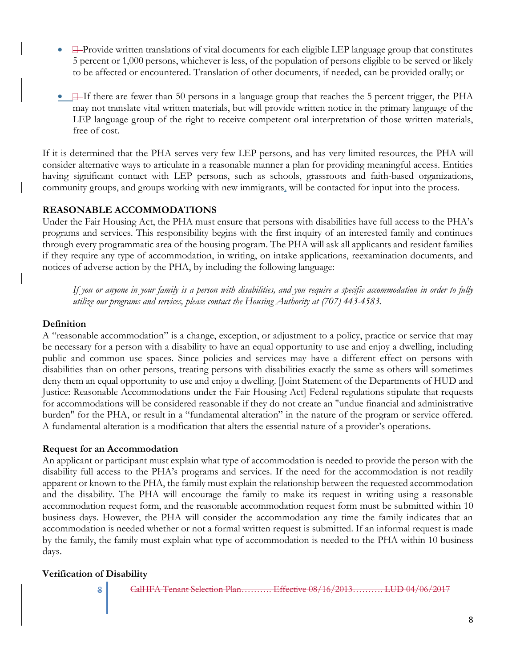- $\Box$ -Provide written translations of vital documents for each eligible LEP language group that constitutes 5 percent or 1,000 persons, whichever is less, of the population of persons eligible to be served or likely to be affected or encountered. Translation of other documents, if needed, can be provided orally; or
- **I**-If there are fewer than 50 persons in a language group that reaches the 5 percent trigger, the PHA may not translate vital written materials, but will provide written notice in the primary language of the LEP language group of the right to receive competent oral interpretation of those written materials, free of cost.

If it is determined that the PHA serves very few LEP persons, and has very limited resources, the PHA will consider alternative ways to articulate in a reasonable manner a plan for providing meaningful access. Entities having significant contact with LEP persons, such as schools, grassroots and faith-based organizations, community groups, and groups working with new immigrants, will be contacted for input into the process.

#### **REASONABLE ACCOMMODATIONS**

Under the Fair Housing Act, the PHA must ensure that persons with disabilities have full access to the PHA's programs and services. This responsibility begins with the first inquiry of an interested family and continues through every programmatic area of the housing program. The PHA will ask all applicants and resident families if they require any type of accommodation, in writing, on intake applications, reexamination documents, and notices of adverse action by the PHA, by including the following language:

*If you or anyone in your family is a person with disabilities, and you require a specific accommodation in order to fully utilize our programs and services, please contact the Housing Authority at (707) 443-4583.*

#### **Definition**

A "reasonable accommodation" is a change, exception, or adjustment to a policy, practice or service that may be necessary for a person with a disability to have an equal opportunity to use and enjoy a dwelling, including public and common use spaces. Since policies and services may have a different effect on persons with disabilities than on other persons, treating persons with disabilities exactly the same as others will sometimes deny them an equal opportunity to use and enjoy a dwelling. [Joint Statement of the Departments of HUD and Justice: Reasonable Accommodations under the Fair Housing Act] Federal regulations stipulate that requests for accommodations will be considered reasonable if they do not create an "undue financial and administrative burden" for the PHA, or result in a "fundamental alteration" in the nature of the program or service offered. A fundamental alteration is a modification that alters the essential nature of a provider's operations.

#### **Request for an Accommodation**

An applicant or participant must explain what type of accommodation is needed to provide the person with the disability full access to the PHA's programs and services. If the need for the accommodation is not readily apparent or known to the PHA, the family must explain the relationship between the requested accommodation and the disability. The PHA will encourage the family to make its request in writing using a reasonable accommodation request form, and the reasonable accommodation request form must be submitted within 10 business days. However, the PHA will consider the accommodation any time the family indicates that an accommodation is needed whether or not a formal written request is submitted. If an informal request is made by the family, the family must explain what type of accommodation is needed to the PHA within 10 business days.

#### **Verification of Disability**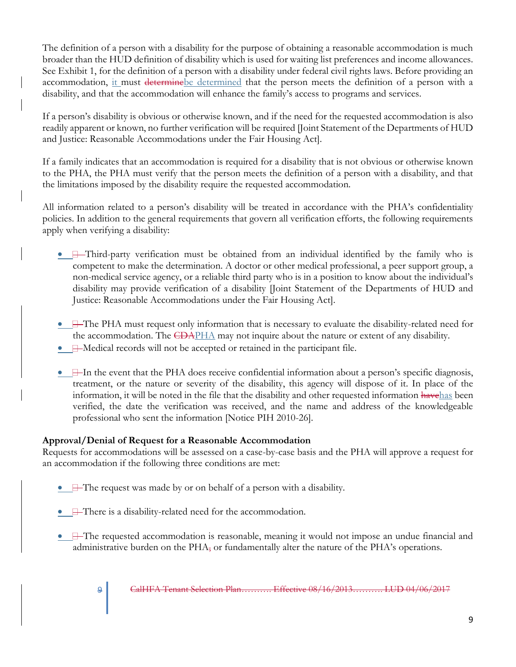The definition of a person with a disability for the purpose of obtaining a reasonable accommodation is much broader than the HUD definition of disability which is used for waiting list preferences and income allowances. See Exhibit 1, for the definition of a person with a disability under federal civil rights laws. Before providing an accommodation, it must determinebe determined that the person meets the definition of a person with a disability, and that the accommodation will enhance the family's access to programs and services.

If a person's disability is obvious or otherwise known, and if the need for the requested accommodation is also readily apparent or known, no further verification will be required [Joint Statement of the Departments of HUD and Justice: Reasonable Accommodations under the Fair Housing Act].

If a family indicates that an accommodation is required for a disability that is not obvious or otherwise known to the PHA, the PHA must verify that the person meets the definition of a person with a disability, and that the limitations imposed by the disability require the requested accommodation.

All information related to a person's disability will be treated in accordance with the PHA's confidentiality policies. In addition to the general requirements that govern all verification efforts, the following requirements apply when verifying a disability:

- **H**-Third-party verification must be obtained from an individual identified by the family who is competent to make the determination. A doctor or other medical professional, a peer support group, a non-medical service agency, or a reliable third party who is in a position to know about the individual's disability may provide verification of a disability [Joint Statement of the Departments of HUD and Justice: Reasonable Accommodations under the Fair Housing Act].
- $\Box$  The PHA must request only information that is necessary to evaluate the disability-related need for the accommodation. The  $\sqrt{\text{EBAPHA}}$  may not inquire about the nature or extent of any disability.
- **H**-Medical records will not be accepted or retained in the participant file.
- $\bullet$   $\Box$  In the event that the PHA does receive confidential information about a person's specific diagnosis, treatment, or the nature or severity of the disability, this agency will dispose of it. In place of the information, it will be noted in the file that the disability and other requested information havehas been verified, the date the verification was received, and the name and address of the knowledgeable professional who sent the information [Notice PIH 2010-26].

#### **Approval/Denial of Request for a Reasonable Accommodation**

Requests for accommodations will be assessed on a case-by-case basis and the PHA will approve a request for an accommodation if the following three conditions are met:

- $\bullet$   $\Box$  The request was made by or on behalf of a person with a disability.
- **F**There is a disability-related need for the accommodation.
- $\Box$  The requested accommodation is reasonable, meaning it would not impose an undue financial and administrative burden on the PHA, or fundamentally alter the nature of the PHA's operations.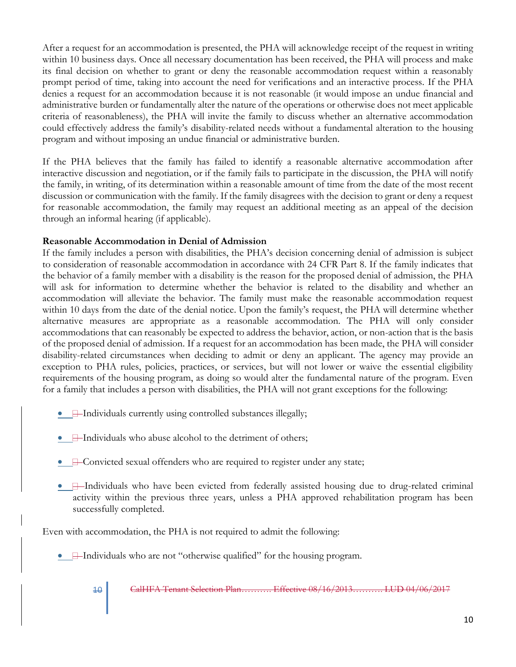After a request for an accommodation is presented, the PHA will acknowledge receipt of the request in writing within 10 business days. Once all necessary documentation has been received, the PHA will process and make its final decision on whether to grant or deny the reasonable accommodation request within a reasonably prompt period of time, taking into account the need for verifications and an interactive process. If the PHA denies a request for an accommodation because it is not reasonable (it would impose an undue financial and administrative burden or fundamentally alter the nature of the operations or otherwise does not meet applicable criteria of reasonableness), the PHA will invite the family to discuss whether an alternative accommodation could effectively address the family's disability-related needs without a fundamental alteration to the housing program and without imposing an undue financial or administrative burden.

If the PHA believes that the family has failed to identify a reasonable alternative accommodation after interactive discussion and negotiation, or if the family fails to participate in the discussion, the PHA will notify the family, in writing, of its determination within a reasonable amount of time from the date of the most recent discussion or communication with the family. If the family disagrees with the decision to grant or deny a request for reasonable accommodation, the family may request an additional meeting as an appeal of the decision through an informal hearing (if applicable).

#### **Reasonable Accommodation in Denial of Admission**

If the family includes a person with disabilities, the PHA's decision concerning denial of admission is subject to consideration of reasonable accommodation in accordance with 24 CFR Part 8. If the family indicates that the behavior of a family member with a disability is the reason for the proposed denial of admission, the PHA will ask for information to determine whether the behavior is related to the disability and whether an accommodation will alleviate the behavior. The family must make the reasonable accommodation request within 10 days from the date of the denial notice. Upon the family's request, the PHA will determine whether alternative measures are appropriate as a reasonable accommodation. The PHA will only consider accommodations that can reasonably be expected to address the behavior, action, or non-action that is the basis of the proposed denial of admission. If a request for an accommodation has been made, the PHA will consider disability-related circumstances when deciding to admit or deny an applicant. The agency may provide an exception to PHA rules, policies, practices, or services, but will not lower or waive the essential eligibility requirements of the housing program, as doing so would alter the fundamental nature of the program. Even for a family that includes a person with disabilities, the PHA will not grant exceptions for the following:

- $\bullet$   $\Box$  Individuals currently using controlled substances illegally;
- $\Box$  Individuals who abuse alcohol to the detriment of others;
- $\Box$  Convicted sexual offenders who are required to register under any state;
- $\Box$ —Individuals who have been evicted from federally assisted housing due to drug-related criminal activity within the previous three years, unless a PHA approved rehabilitation program has been successfully completed.

Even with accommodation, the PHA is not required to admit the following:

• **I**-Individuals who are not "otherwise qualified" for the housing program.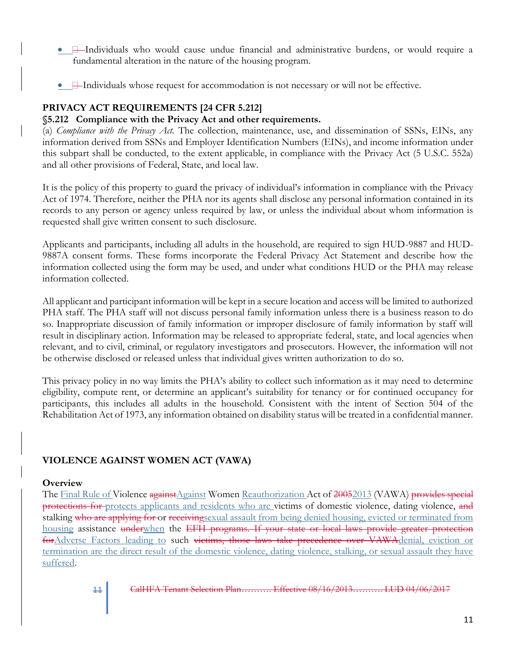- $\Box$ -Individuals who would cause undue financial and administrative burdens, or would require a fundamental alteration in the nature of the housing program.
- $\Box$  Individuals whose request for accommodation is not necessary or will not be effective.

### **PRIVACY ACT REQUIREMENTS [24 CFR 5.212]**

#### **§5.212 Compliance with the Privacy Act and other requirements.**

(a) *Compliance with the Privacy Act.* The collection, maintenance, use, and dissemination of SSNs, EINs, any information derived from SSNs and Employer Identification Numbers (EINs), and income information under this subpart shall be conducted, to the extent applicable, in compliance with the Privacy Act (5 U.S.C. 552a) and all other provisions of Federal, State, and local law.

It is the policy of this property to guard the privacy of individual's information in compliance with the Privacy Act of 1974. Therefore, neither the PHA nor its agents shall disclose any personal information contained in its records to any person or agency unless required by law, or unless the individual about whom information is requested shall give written consent to such disclosure.

Applicants and participants, including all adults in the household, are required to sign HUD-9887 and HUD-9887A consent forms. These forms incorporate the Federal Privacy Act Statement and describe how the information collected using the form may be used, and under what conditions HUD or the PHA may release information collected.

All applicant and participant information will be kept in a secure location and access will be limited to authorized PHA staff. The PHA staff will not discuss personal family information unless there is a business reason to do so. Inappropriate discussion of family information or improper disclosure of family information by staff will result in disciplinary action. Information may be released to appropriate federal, state, and local agencies when relevant, and to civil, criminal, or regulatory investigators and prosecutors. However, the information will not be otherwise disclosed or released unless that individual gives written authorization to do so.

This privacy policy in no way limits the PHA's ability to collect such information as it may need to determine eligibility, compute rent, or determine an applicant's suitability for tenancy or for continued occupancy for participants, this includes all adults in the household. Consistent with the intent of Section 504 of the Rehabilitation Act of 1973, any information obtained on disability status will be treated in a confidential manner.

## **VIOLENCE AGAINST WOMEN ACT (VAWA)**

#### **Overview**

The Final Rule of Violence against Against Women Reauthorization Act of 20052013 (VAWA) provides special protections for protects applicants and residents who are victims of domestic violence, dating violence, and stalking who are applying for or receiving sexual assault from being denied housing, evicted or terminated from housing assistance underwhen the EFH programs. If your state or local laws provide greater protection forAdverse Factors leading to such victims, those laws take precedence over VAWAdenial, eviction or termination are the direct result of the domestic violence, dating violence, stalking, or sexual assault they have suffered.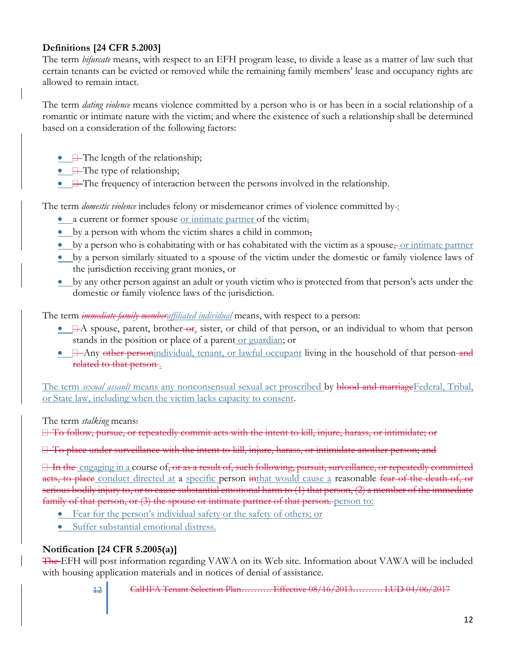#### **Definitions [24 CFR 5.2003]**

The term *bifurcate* means, with respect to an EFH program lease, to divide a lease as a matter of law such that certain tenants can be evicted or removed while the remaining family members' lease and occupancy rights are allowed to remain intact.

The term *dating violence* means violence committed by a person who is or has been in a social relationship of a romantic or intimate nature with the victim; and where the existence of such a relationship shall be determined based on a consideration of the following factors:

- $\bullet$   $\Box$  The length of the relationship;
- $\Box$  The type of relationship;
- $\bullet$   $\Box$  The frequency of interaction between the persons involved in the relationship.

The term *domestic violence* includes felony or misdemeanor crimes of violence committed by :

- a current or former spouse or intimate partner of the victim,
- by a person with whom the victim shares a child in common,
- $\bullet$  by a person who is cohabitating with or has cohabitated with the victim as a spouse, <u>or intimate partner</u>
- by a person similarly situated to a spouse of the victim under the domestic or family violence laws of the jurisdiction receiving grant monies, or
- by any other person against an adult or youth victim who is protected from that person's acts under the domestic or family violence laws of the jurisdiction.

The term *immediate family memberaffiliated individual* means, with respect to a person:

- $\Box$  A spouse, parent, brother-or, sister, or child of that person, or an individual to whom that person stands in the position or place of a parent or guardian; or
- $\Box$  Any other personindividual, tenant, or lawful occupant living in the household of that person-and related to that person .

The term *sexual assault* means any nonconsensual sexual act proscribed by blood and marriageFederal, Tribal, or State law, including when the victim lacks capacity to consent.

The term *stalking* means:

To follow, pursue, or repeatedly commit acts with the intent to kill, injure, harass, or intimidate; or

To place under surveillance with the intent to kill, injure, harass, or intimidate another person; and

If the engaging in a course of, or as a result of, such following, pursuit, surveillance, or repeatedly committed acts, to place conduct directed at a specific person inthat would cause a reasonable fear of the death of, or serious bodily injury to, or to cause substantial emotional harm to (1) that person, (2) a member of the immediate family of that person, or (3) the spouse or intimate partner of that person. person to:

- Fear for the person's individual safety or the safety of others; or
- Suffer substantial emotional distress.

#### **Notification [24 CFR 5.2005(a)]**

The EFH will post information regarding VAWA on its Web site. Information about VAWA will be included with housing application materials and in notices of denial of assistance.

12 CalHFA Tenant Selection Plan………. Effective 08/16/2013………. LUD 04/06/2017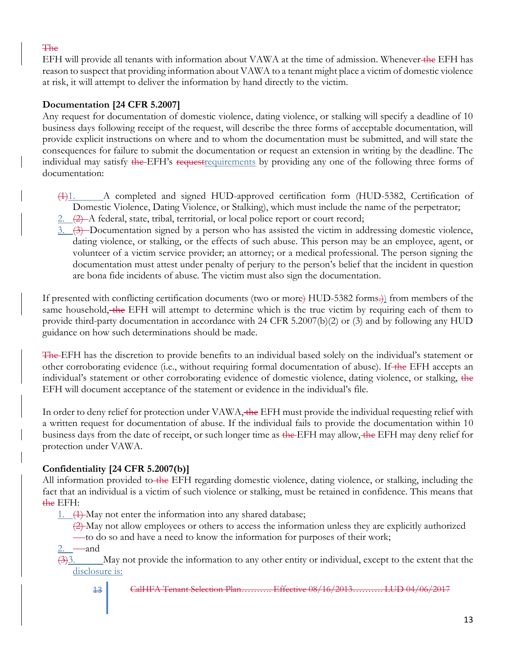#### The

EFH will provide all tenants with information about VAWA at the time of admission. Whenever-the EFH has reason to suspect that providing information about VAWA to a tenant might place a victim of domestic violence at risk, it will attempt to deliver the information by hand directly to the victim.

#### **Documentation [24 CFR 5.2007]**

Any request for documentation of domestic violence, dating violence, or stalking will specify a deadline of 10 business days following receipt of the request, will describe the three forms of acceptable documentation, will provide explicit instructions on where and to whom the documentation must be submitted, and will state the consequences for failure to submit the documentation or request an extension in writing by the deadline. The individual may satisfy the EFH's requestrequirements by providing any one of the following three forms of documentation:

- (1)1. A completed and signed HUD-approved certification form (HUD-5382, Certification of Domestic Violence, Dating Violence, or Stalking), which must include the name of the perpetrator;
- $2.$   $(2)$  A federal, state, tribal, territorial, or local police report or court record;
- 3. (3) Documentation signed by a person who has assisted the victim in addressing domestic violence, dating violence, or stalking, or the effects of such abuse. This person may be an employee, agent, or volunteer of a victim service provider; an attorney; or a medical professional. The person signing the documentation must attest under penalty of perjury to the person's belief that the incident in question are bona fide incidents of abuse. The victim must also sign the documentation.

If presented with conflicting certification documents (two or more) HUD-5382 forms.)) from members of the same household, the EFH will attempt to determine which is the true victim by requiring each of them to provide third-party documentation in accordance with 24 CFR 5.2007(b)(2) or (3) and by following any HUD guidance on how such determinations should be made.

The EFH has the discretion to provide benefits to an individual based solely on the individual's statement or other corroborating evidence (i.e., without requiring formal documentation of abuse). If the EFH accepts an individual's statement or other corroborating evidence of domestic violence, dating violence, or stalking, the EFH will document acceptance of the statement or evidence in the individual's file.

In order to deny relief for protection under VAWA, the EFH must provide the individual requesting relief with a written request for documentation of abuse. If the individual fails to provide the documentation within 10 business days from the date of receipt, or such longer time as the EFH may allow, the EFH may deny relief for protection under VAWA.

#### **Confidentiality [24 CFR 5.2007(b)]**

All information provided to the EFH regarding domestic violence, dating violence, or stalking, including the fact that an individual is a victim of such violence or stalking, must be retained in confidence. This means that the EFH:

1. (1) May not enter the information into any shared database;

(2) May not allow employees or others to access the information unless they are explicitly authorized —to do so and have a need to know the information for purposes of their work;

—and

 $\frac{333}{2}$  May not provide the information to any other entity or individual, except to the extent that the disclosure is:

13 CalHFA Tenant Selection Plan………. Effective 08/16/2013………. LUD 04/06/2017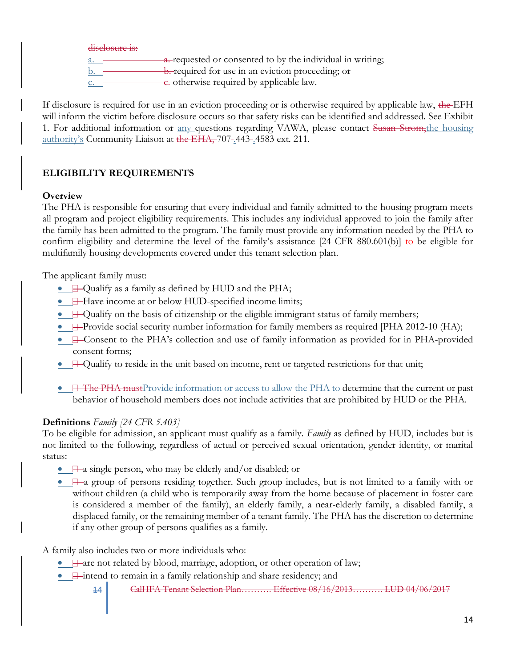disclosure is:

a. requested or consented to by the individual in writing;

 $\underline{b}$ .  $\underline{b}$  b. required for use in an eviction proceeding; or

 $c.$   $\longrightarrow$  c. otherwise required by applicable law.

If disclosure is required for use in an eviction proceeding or is otherwise required by applicable law, the EFH will inform the victim before disclosure occurs so that safety risks can be identified and addressed. See Exhibit 1. For additional information or <u>any q</u>uestions regarding VAWA, please contact Susan Strom, the housing authority's Community Liaison at the EHA, 707-443-4583 ext. 211.

## **ELIGIBILITY REQUIREMENTS**

## **Overview**

The PHA is responsible for ensuring that every individual and family admitted to the housing program meets all program and project eligibility requirements. This includes any individual approved to join the family after the family has been admitted to the program. The family must provide any information needed by the PHA to confirm eligibility and determine the level of the family's assistance [24 CFR 880.601(b)] to be eligible for multifamily housing developments covered under this tenant selection plan.

The applicant family must:

- Qualify as a family as defined by HUD and the PHA;
- **Have income at or below HUD-specified income limits;**
- $\Box$  Qualify on the basis of citizenship or the eligible immigrant status of family members;
- $\Box$ -Provide social security number information for family members as required [PHA 2012-10 (HA);
- **E**-Consent to the PHA's collection and use of family information as provided for in PHA-provided consent forms;
- $\Box$  Qualify to reside in the unit based on income, rent or targeted restrictions for that unit;
- $\Box$  The PHA must Provide information or access to allow the PHA to determine that the current or past behavior of household members does not include activities that are prohibited by HUD or the PHA.

## **Definitions** *Family [24 CFR 5.403]*

To be eligible for admission, an applicant must qualify as a family. *Family* as defined by HUD, includes but is not limited to the following, regardless of actual or perceived sexual orientation, gender identity, or marital status:

- $\Box$ —a single person, who may be elderly and/or disabled; or
- $\Box$ —a group of persons residing together. Such group includes, but is not limited to a family with or without children (a child who is temporarily away from the home because of placement in foster care is considered a member of the family), an elderly family, a near-elderly family, a disabled family, a displaced family, or the remaining member of a tenant family. The PHA has the discretion to determine if any other group of persons qualifies as a family.

A family also includes two or more individuals who:

- $\Box$  are not related by blood, marriage, adoption, or other operation of law;
- $\bullet$   $\quad$   $\quad$   $\bullet$   $\quad$   $\bullet$  intend to remain in a family relationship and share residency; and
	- 14 CalHFA Tenant Selection Plan………. Effective 08/16/2013………. LUD 04/06/2017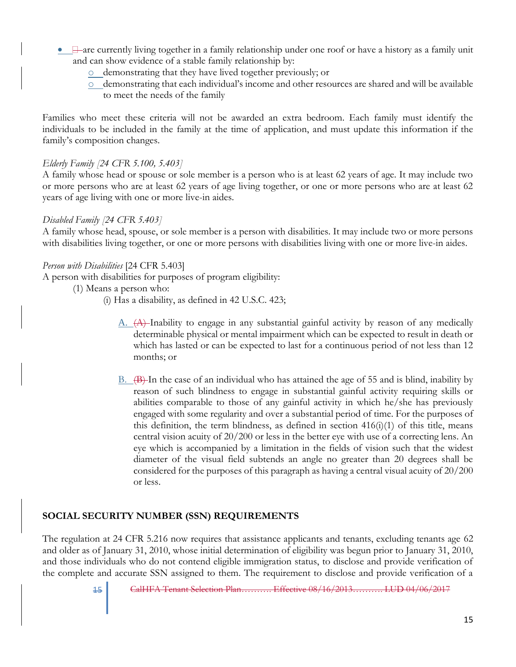- $\bullet$   $\Box$  are currently living together in a family relationship under one roof or have a history as a family unit and can show evidence of a stable family relationship by:
	- o demonstrating that they have lived together previously; or
	- o demonstrating that each individual's income and other resources are shared and will be available to meet the needs of the family

Families who meet these criteria will not be awarded an extra bedroom. Each family must identify the individuals to be included in the family at the time of application, and must update this information if the family's composition changes.

#### *Elderly Family [24 CFR 5.100, 5.403]*

A family whose head or spouse or sole member is a person who is at least 62 years of age. It may include two or more persons who are at least 62 years of age living together, or one or more persons who are at least 62 years of age living with one or more live-in aides.

#### *Disabled Family [24 CFR 5.403]*

A family whose head, spouse, or sole member is a person with disabilities. It may include two or more persons with disabilities living together, or one or more persons with disabilities living with one or more live-in aides.

#### *Person with Disabilities* [24 CFR 5.403]

A person with disabilities for purposes of program eligibility:

- (1) Means a person who:
	- (i) Has a disability, as defined in 42 U.S.C. 423;
		- A. (A) Inability to engage in any substantial gainful activity by reason of any medically determinable physical or mental impairment which can be expected to result in death or which has lasted or can be expected to last for a continuous period of not less than 12 months; or
		- B. (B) In the case of an individual who has attained the age of 55 and is blind, inability by reason of such blindness to engage in substantial gainful activity requiring skills or abilities comparable to those of any gainful activity in which he/she has previously engaged with some regularity and over a substantial period of time. For the purposes of this definition, the term blindness, as defined in section  $416(i)(1)$  of this title, means central vision acuity of 20/200 or less in the better eye with use of a correcting lens. An eye which is accompanied by a limitation in the fields of vision such that the widest diameter of the visual field subtends an angle no greater than 20 degrees shall be considered for the purposes of this paragraph as having a central visual acuity of 20/200 or less.

#### **SOCIAL SECURITY NUMBER (SSN) REQUIREMENTS**

The regulation at 24 CFR 5.216 now requires that assistance applicants and tenants, excluding tenants age 62 and older as of January 31, 2010, whose initial determination of eligibility was begun prior to January 31, 2010, and those individuals who do not contend eligible immigration status, to disclose and provide verification of the complete and accurate SSN assigned to them. The requirement to disclose and provide verification of a

<sup>15</sup> CalHFA Tenant Selection Plan………. Effective 08/16/2013………. LUD 04/06/2017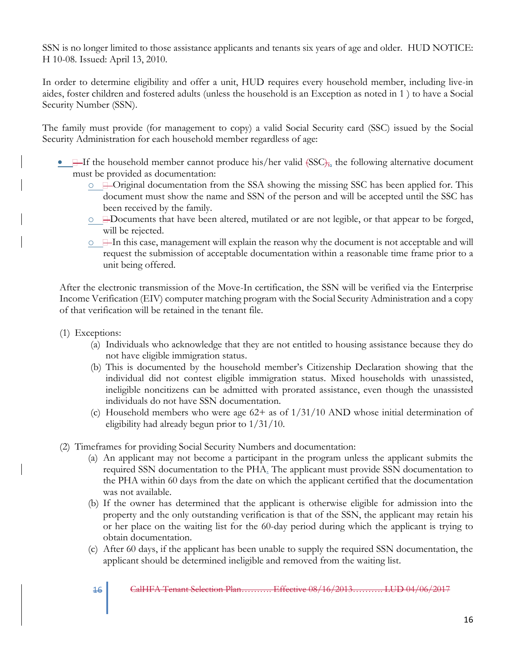SSN is no longer limited to those assistance applicants and tenants six years of age and older. HUD NOTICE: H 10-08. Issued: April 13, 2010.

In order to determine eligibility and offer a unit, HUD requires every household member, including live-in aides, foster children and fostered adults (unless the household is an Exception as noted in 1 ) to have a Social Security Number (SSN).

The family must provide (for management to copy) a valid Social Security card (SSC) issued by the Social Security Administration for each household member regardless of age:

- $\Box$  If the household member cannot produce his/her valid  $(SSC)_{74}$ , the following alternative document must be provided as documentation:
	- $\circ$   $\equiv$ -Original documentation from the SSA showing the missing SSC has been applied for. This document must show the name and SSN of the person and will be accepted until the SSC has been received by the family.
	- $\circ \quad \exists$ Documents that have been altered, mutilated or are not legible, or that appear to be forged, will be rejected.
	- $\circ$   $\Box$  In this case, management will explain the reason why the document is not acceptable and will request the submission of acceptable documentation within a reasonable time frame prior to a unit being offered.

After the electronic transmission of the Move-In certification, the SSN will be verified via the Enterprise Income Verification (EIV) computer matching program with the Social Security Administration and a copy of that verification will be retained in the tenant file.

- (1) Exceptions:
	- (a) Individuals who acknowledge that they are not entitled to housing assistance because they do not have eligible immigration status.
	- (b) This is documented by the household member's Citizenship Declaration showing that the individual did not contest eligible immigration status. Mixed households with unassisted, ineligible noncitizens can be admitted with prorated assistance, even though the unassisted individuals do not have SSN documentation.
	- (c) Household members who were age  $62+$  as of  $1/31/10$  AND whose initial determination of eligibility had already begun prior to 1/31/10.
- (2) Timeframes for providing Social Security Numbers and documentation:
	- (a) An applicant may not become a participant in the program unless the applicant submits the required SSN documentation to the PHA. The applicant must provide SSN documentation to the PHA within 60 days from the date on which the applicant certified that the documentation was not available.
	- (b) If the owner has determined that the applicant is otherwise eligible for admission into the property and the only outstanding verification is that of the SSN, the applicant may retain his or her place on the waiting list for the 60-day period during which the applicant is trying to obtain documentation.
	- (c) After 60 days, if the applicant has been unable to supply the required SSN documentation, the applicant should be determined ineligible and removed from the waiting list.

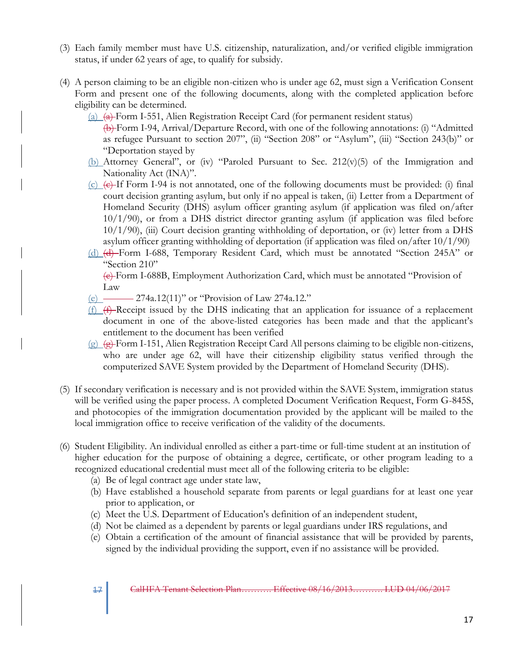- (3) Each family member must have U.S. citizenship, naturalization, and/or verified eligible immigration status, if under 62 years of age, to qualify for subsidy.
- (4) A person claiming to be an eligible non-citizen who is under age 62, must sign a Verification Consent Form and present one of the following documents, along with the completed application before eligibility can be determined.
	- (a)  $\left( \phi \right)$  Form I-551, Alien Registration Receipt Card (for permanent resident status) (b) Form I-94, Arrival/Departure Record, with one of the following annotations: (i) "Admitted as refugee Pursuant to section 207", (ii) "Section 208" or "Asylum", (iii) "Section 243(b)" or "Deportation stayed by
	- (b) Attorney General", or (iv) "Paroled Pursuant to Sec. 212(v)(5) of the Immigration and Nationality Act (INA)".
	- $(c)$   $(e)$  If Form I-94 is not annotated, one of the following documents must be provided: (i) final court decision granting asylum, but only if no appeal is taken, (ii) Letter from a Department of Homeland Security (DHS) asylum officer granting asylum (if application was filed on/after 10/1/90), or from a DHS district director granting asylum (if application was filed before 10/1/90), (iii) Court decision granting withholding of deportation, or (iv) letter from a DHS asylum officer granting withholding of deportation (if application was filed on/after  $10/1/90$ )
	- (d) (d) Form I-688, Temporary Resident Card, which must be annotated "Section 245A" or "Section 210"

(e) Form I-688B, Employment Authorization Card, which must be annotated "Provision of Law

- (e) 274a.12(11)" or "Provision of Law 274a.12."
- $(f)$   $(f)$  Receipt issued by the DHS indicating that an application for issuance of a replacement document in one of the above-listed categories has been made and that the applicant's entitlement to the document has been verified
- $(g)$   $(g)$  Form I-151, Alien Registration Receipt Card All persons claiming to be eligible non-citizens, who are under age 62, will have their citizenship eligibility status verified through the computerized SAVE System provided by the Department of Homeland Security (DHS).
- (5) If secondary verification is necessary and is not provided within the SAVE System, immigration status will be verified using the paper process. A completed Document Verification Request, Form G-845S, and photocopies of the immigration documentation provided by the applicant will be mailed to the local immigration office to receive verification of the validity of the documents.
- (6) Student Eligibility. An individual enrolled as either a part-time or full-time student at an institution of higher education for the purpose of obtaining a degree, certificate, or other program leading to a recognized educational credential must meet all of the following criteria to be eligible:
	- (a) Be of legal contract age under state law,
	- (b) Have established a household separate from parents or legal guardians for at least one year prior to application, or
	- (c) Meet the U.S. Department of Education's definition of an independent student,
	- (d) Not be claimed as a dependent by parents or legal guardians under IRS regulations, and
	- (e) Obtain a certification of the amount of financial assistance that will be provided by parents, signed by the individual providing the support, even if no assistance will be provided.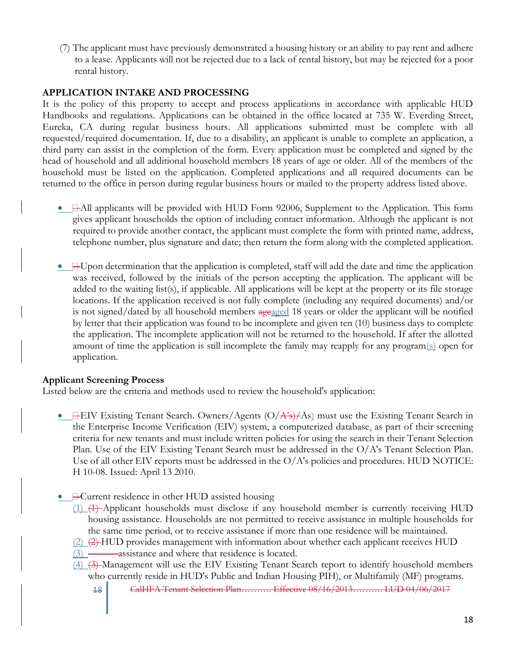(7) The applicant must have previously demonstrated a housing history or an ability to pay rent and adhere to a lease. Applicants will not be rejected due to a lack of rental history, but may be rejected for a poor rental history.

#### **APPLICATION INTAKE AND PROCESSING**

It is the policy of this property to accept and process applications in accordance with applicable HUD Handbooks and regulations. Applications can be obtained in the office located at 735 W. Everding Street, Eureka, CA during regular business hours. All applications submitted must be complete with all requested/required documentation. If, due to a disability, an applicant is unable to complete an application, a third party can assist in the completion of the form. Every application must be completed and signed by the head of household and all additional household members 18 years of age or older. All of the members of the household must be listed on the application. Completed applications and all required documents can be returned to the office in person during regular business hours or mailed to the property address listed above.

- $\Box$  All applicants will be provided with HUD Form 92006, Supplement to the Application. This form gives applicant households the option of including contact information. Although the applicant is not required to provide another contact, the applicant must complete the form with printed name, address, telephone number, plus signature and date; then return the form along with the completed application.
- $\exists$ -Upon determination that the application is completed, staff will add the date and time the application was received, followed by the initials of the person accepting the application. The applicant will be added to the waiting list(s), if applicable. All applications will be kept at the property or its file storage locations. If the application received is not fully complete (including any required documents) and/or is not signed/dated by all household members ageaged 18 years or older the applicant will be notified by letter that their application was found to be incomplete and given ten (10) business days to complete the application. The incomplete application will not be returned to the household. If after the allotted amount of time the application is still incomplete the family may reapply for any program $(s)$  open for application.

#### **Applicant Screening Process**

Listed below are the criteria and methods used to review the household's application:

- $\Box$  EIV Existing Tenant Search. Owners/Agents (O/A's)/As) must use the Existing Tenant Search in the Enterprise Income Verification (EIV) system, a computerized database, as part of their screening criteria for new tenants and must include written policies for using the search in their Tenant Selection Plan. Use of the EIV Existing Tenant Search must be addressed in the O/A's Tenant Selection Plan. Use of all other EIV reports must be addressed in the  $O/A$ 's policies and procedures. HUD NOTICE: H 10-08. Issued: April 13 2010.
- Current residence in other HUD assisted housing
	- (1) (1) Applicant households must disclose if any household member is currently receiving HUD housing assistance. Households are not permitted to receive assistance in multiple households for the same time period, or to receive assistance if more than one residence will be maintained.
	- $(2)$   $(2)$  HUD provides management with information about whether each applicant receives HUD
	- $(3)$   $\longrightarrow$  assistance and where that residence is located.
	- (4) (3) Management will use the EIV Existing Tenant Search report to identify household members who currently reside in HUD's Public and Indian Housing PIH), or Multifamily (MF) programs.
		- 18 CalHFA Tenant Selection Plan………. Effective 08/16/2013………. LUD 04/06/2017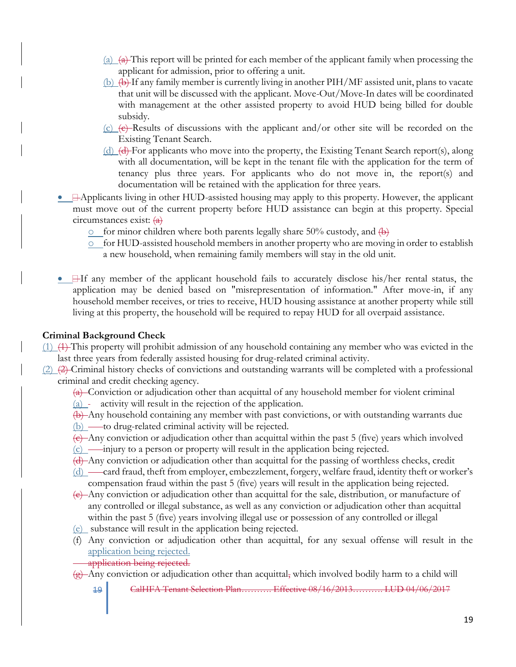- $(a)$   $(a)$  This report will be printed for each member of the applicant family when processing the applicant for admission, prior to offering a unit.
- $(b)$   $(b)$  If any family member is currently living in another PIH/MF assisted unit, plans to vacate that unit will be discussed with the applicant. Move-Out/Move-In dates will be coordinated with management at the other assisted property to avoid HUD being billed for double subsidy.
- $(c)$  (c) (e) Results of discussions with the applicant and/or other site will be recorded on the Existing Tenant Search.
- (d) (d) For applicants who move into the property, the Existing Tenant Search report(s), along with all documentation, will be kept in the tenant file with the application for the term of tenancy plus three years. For applicants who do not move in, the report(s) and documentation will be retained with the application for three years.
- **Happlicants living in other HUD-assisted housing may apply to this property. However, the applicant** must move out of the current property before HUD assistance can begin at this property. Special circumstances exist: (a)
	- $\circ$  for minor children where both parents legally share 50% custody, and  $\overline{a}$
	- o for HUD-assisted household members in another property who are moving in order to establish a new household, when remaining family members will stay in the old unit.
- If any member of the applicant household fails to accurately disclose his/her rental status, the application may be denied based on "misrepresentation of information." After move-in, if any household member receives, or tries to receive, HUD housing assistance at another property while still living at this property, the household will be required to repay HUD for all overpaid assistance.

#### **Criminal Background Check**

- (1) (1) This property will prohibit admission of any household containing any member who was evicted in the last three years from federally assisted housing for drug-related criminal activity.
- (2) (2) Criminal history checks of convictions and outstanding warrants will be completed with a professional criminal and credit checking agency.
	- $\frac{1}{2}$  Conviction or adjudication other than acquittal of any household member for violent criminal (a)  $\overline{\phantom{a}}$  activity will result in the rejection of the application.
	- (b) Any household containing any member with past convictions, or with outstanding warrants due  $(b)$  —to drug-related criminal activity will be rejected.
	- $(e)$ -Any conviction or adjudication other than acquittal within the past 5 (five) years which involved
	- $(c)$  injury to a person or property will result in the application being rejected.
	- (d) Any conviction or adjudication other than acquittal for the passing of worthless checks, credit
	- (d) card fraud, theft from employer, embezzlement, forgery, welfare fraud, identity theft or worker's compensation fraud within the past 5 (five) years will result in the application being rejected.
	- (e) Any conviction or adjudication other than acquittal for the sale, distribution, or manufacture of any controlled or illegal substance, as well as any conviction or adjudication other than acquittal within the past 5 (five) years involving illegal use or possession of any controlled or illegal
	- (e) substance will result in the application being rejected.
	- (f) Any conviction or adjudication other than acquittal, for any sexual offense will result in the application being rejected.
		- application being rejected.
	- $\frac{1}{2}$  Any conviction or adjudication other than acquittal, which involved bodily harm to a child will
		- 19 CalHFA Tenant Selection Plan………. Effective 08/16/2013………. LUD 04/06/2017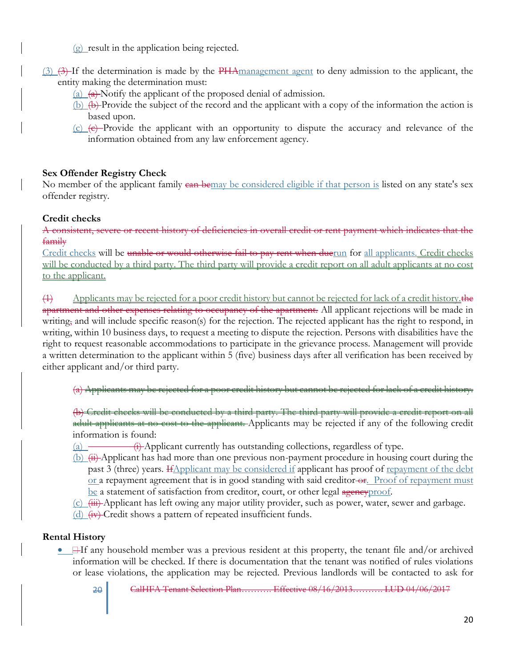(g) result in the application being rejected.

- (3) (3) If the determination is made by the PHAmanagement agent to deny admission to the applicant, the entity making the determination must:
	- (a)  $\left( \frac{a}{b} \right)$  Notify the applicant of the proposed denial of admission.
	- (b)  $\left(\frac{b}{c}\right)$  Provide the subject of the record and the applicant with a copy of the information the action is based upon.
	- $(c)$   $(e)$  Provide the applicant with an opportunity to dispute the accuracy and relevance of the information obtained from any law enforcement agency.

## **Sex Offender Registry Check**

No member of the applicant family can be may be considered eligible if that person is listed on any state's sex offender registry.

## **Credit checks**

A consistent, severe or recent history of deficiencies in overall credit or rent payment which indicates that the family

Credit checks will be unable or would otherwise fail to pay rent when duerun for all applicants. Credit checks will be conducted by a third party. The third party will provide a credit report on all adult applicants at no cost to the applicant.

 $\overline{A}$  Applicants may be rejected for a poor credit history but cannot be rejected for lack of a credit history. the apartment and other expenses relating to occupancy of the apartment. All applicant rejections will be made in writing, and will include specific reason(s) for the rejection. The rejected applicant has the right to respond, in writing, within 10 business days, to request a meeting to dispute the rejection. Persons with disabilities have the right to request reasonable accommodations to participate in the grievance process. Management will provide a written determination to the applicant within 5 (five) business days after all verification has been received by either applicant and/or third party.

(a) Applicants may be rejected for a poor credit history but cannot be rejected for lack of a credit history.

(b) Credit checks will be conducted by a third party. The third party will provide a credit report on all adult applicants at no cost to the applicant. Applicants may be rejected if any of the following credit information is found:

- (a)  $\overline{\phantom{a}}$  (i) Applicant currently has outstanding collections, regardless of type.
- $(b)$   $(ii)$  Applicant has had more than one previous non-payment procedure in housing court during the past 3 (three) years. HApplicant may be considered if applicant has proof of repayment of the debt or a repayment agreement that is in good standing with said creditor-or. Proof of repayment must be a statement of satisfaction from creditor, court, or other legal agency proof.
- $(c)$  (iii) Applicant has left owing any major utility provider, such as power, water, sewer and garbage.

(d)  $(iv)$  Credit shows a pattern of repeated insufficient funds.

## **Rental History**

• Here if any household member was a previous resident at this property, the tenant file and/or archived information will be checked. If there is documentation that the tenant was notified of rules violations or lease violations, the application may be rejected. Previous landlords will be contacted to ask for

<sup>20</sup> CalHFA Tenant Selection Plan………. Effective 08/16/2013………. LUD 04/06/2017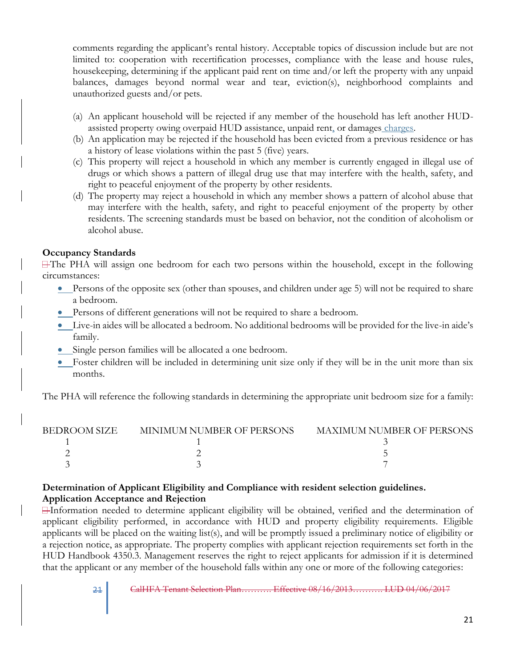comments regarding the applicant's rental history. Acceptable topics of discussion include but are not limited to: cooperation with recertification processes, compliance with the lease and house rules, housekeeping, determining if the applicant paid rent on time and/or left the property with any unpaid balances, damages beyond normal wear and tear, eviction(s), neighborhood complaints and unauthorized guests and/or pets.

- (a) An applicant household will be rejected if any member of the household has left another HUDassisted property owing overpaid HUD assistance, unpaid rent, or damages charges.
- (b) An application may be rejected if the household has been evicted from a previous residence or has a history of lease violations within the past 5 (five) years.
- (c) This property will reject a household in which any member is currently engaged in illegal use of drugs or which shows a pattern of illegal drug use that may interfere with the health, safety, and right to peaceful enjoyment of the property by other residents.
- (d) The property may reject a household in which any member shows a pattern of alcohol abuse that may interfere with the health, safety, and right to peaceful enjoyment of the property by other residents. The screening standards must be based on behavior, not the condition of alcoholism or alcohol abuse.

#### **Occupancy Standards**

The PHA will assign one bedroom for each two persons within the household, except in the following circumstances:

- Persons of the opposite sex (other than spouses, and children under age 5) will not be required to share a bedroom.
- Persons of different generations will not be required to share a bedroom.
- Live-in aides will be allocated a bedroom. No additional bedrooms will be provided for the live-in aide's family.
- Single person families will be allocated a one bedroom.
- Foster children will be included in determining unit size only if they will be in the unit more than six months.

The PHA will reference the following standards in determining the appropriate unit bedroom size for a family:

| <b>BEDROOM SIZE</b> | MINIMUM NUMBER OF PERSONS | <b>MAXIMUM NUMBER OF PERSONS</b> |
|---------------------|---------------------------|----------------------------------|
|                     |                           |                                  |
|                     |                           |                                  |
|                     |                           |                                  |

#### **Determination of Applicant Eligibility and Compliance with resident selection guidelines. Application Acceptance and Rejection**

Information needed to determine applicant eligibility will be obtained, verified and the determination of applicant eligibility performed, in accordance with HUD and property eligibility requirements. Eligible applicants will be placed on the waiting list(s), and will be promptly issued a preliminary notice of eligibility or a rejection notice, as appropriate. The property complies with applicant rejection requirements set forth in the HUD Handbook 4350.3. Management reserves the right to reject applicants for admission if it is determined that the applicant or any member of the household falls within any one or more of the following categories: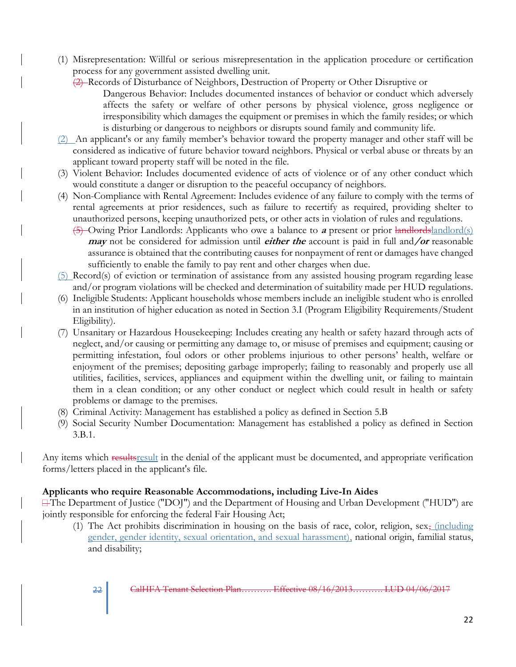- (1) Misrepresentation: Willful or serious misrepresentation in the application procedure or certification process for any government assisted dwelling unit.
	- (2) Records of Disturbance of Neighbors, Destruction of Property or Other Disruptive or
		- Dangerous Behavior: Includes documented instances of behavior or conduct which adversely affects the safety or welfare of other persons by physical violence, gross negligence or irresponsibility which damages the equipment or premises in which the family resides; or which is disturbing or dangerous to neighbors or disrupts sound family and community life.
- (2) An applicant's or any family member's behavior toward the property manager and other staff will be considered as indicative of future behavior toward neighbors. Physical or verbal abuse or threats by an applicant toward property staff will be noted in the file.
- (3) Violent Behavior: Includes documented evidence of acts of violence or of any other conduct which would constitute a danger or disruption to the peaceful occupancy of neighbors.
- (4) Non-Compliance with Rental Agreement: Includes evidence of any failure to comply with the terms of rental agreements at prior residences, such as failure to recertify as required, providing shelter to unauthorized persons, keeping unauthorized pets, or other acts in violation of rules and regulations.
	- (5) Owing Prior Landlords: Applicants who owe a balance to **<sup>a</sup>** present or prior landlordslandlord(s) **may** not be considered for admission until **either the** account is paid in full and**/or** reasonable assurance is obtained that the contributing causes for nonpayment of rent or damages have changed sufficiently to enable the family to pay rent and other charges when due.
- (5) Record(s) of eviction or termination of assistance from any assisted housing program regarding lease and/or program violations will be checked and determination of suitability made per HUD regulations.
- (6) Ineligible Students: Applicant households whose members include an ineligible student who is enrolled in an institution of higher education as noted in Section 3.I (Program Eligibility Requirements/Student Eligibility).
- (7) Unsanitary or Hazardous Housekeeping: Includes creating any health or safety hazard through acts of neglect, and/or causing or permitting any damage to, or misuse of premises and equipment; causing or permitting infestation, foul odors or other problems injurious to other persons' health, welfare or enjoyment of the premises; depositing garbage improperly; failing to reasonably and properly use all utilities, facilities, services, appliances and equipment within the dwelling unit, or failing to maintain them in a clean condition; or any other conduct or neglect which could result in health or safety problems or damage to the premises.
- (8) Criminal Activity: Management has established a policy as defined in Section 5.B
- (9) Social Security Number Documentation: Management has established a policy as defined in Section 3.B.1.

Any items which results result in the denial of the applicant must be documented, and appropriate verification forms/letters placed in the applicant's file.

#### **Applicants who require Reasonable Accommodations, including Live-In Aides**

The Department of Justice ("DOJ") and the Department of Housing and Urban Development ("HUD") are jointly responsible for enforcing the federal Fair Housing Act;

(1) The Act prohibits discrimination in housing on the basis of race, color, religion, sex, (including gender, gender identity, sexual orientation, and sexual harassment), national origin, familial status, and disability;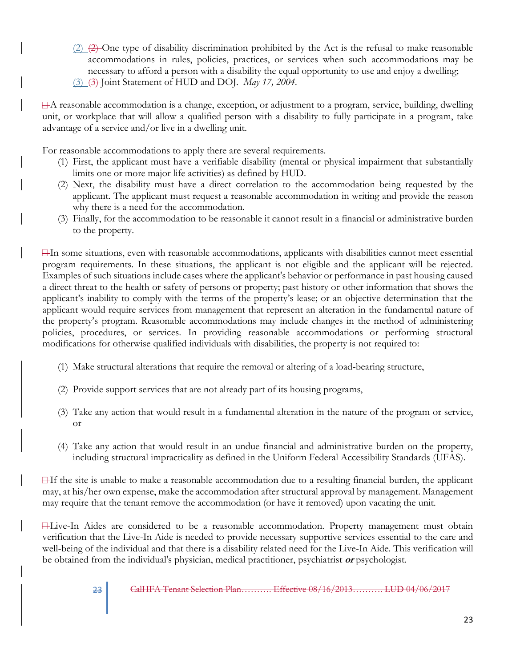$(2)$   $(2)$  One type of disability discrimination prohibited by the Act is the refusal to make reasonable accommodations in rules, policies, practices, or services when such accommodations may be necessary to afford a person with a disability the equal opportunity to use and enjoy a dwelling; (3) (3) Joint Statement of HUD and DOJ. *May 17, 2004.*

A reasonable accommodation is a change, exception, or adjustment to a program, service, building, dwelling unit, or workplace that will allow a qualified person with a disability to fully participate in a program, take advantage of a service and/or live in a dwelling unit.

For reasonable accommodations to apply there are several requirements.

- (1) First, the applicant must have a verifiable disability (mental or physical impairment that substantially limits one or more major life activities) as defined by HUD.
- (2) Next, the disability must have a direct correlation to the accommodation being requested by the applicant. The applicant must request a reasonable accommodation in writing and provide the reason why there is a need for the accommodation.
- (3) Finally, for the accommodation to be reasonable it cannot result in a financial or administrative burden to the property.

In some situations, even with reasonable accommodations, applicants with disabilities cannot meet essential program requirements. In these situations, the applicant is not eligible and the applicant will be rejected. Examples of such situations include cases where the applicant's behavior or performance in past housing caused a direct threat to the health or safety of persons or property; past history or other information that shows the applicant's inability to comply with the terms of the property's lease; or an objective determination that the applicant would require services from management that represent an alteration in the fundamental nature of the property's program. Reasonable accommodations may include changes in the method of administering policies, procedures, or services. In providing reasonable accommodations or performing structural modifications for otherwise qualified individuals with disabilities, the property is not required to:

- (1) Make structural alterations that require the removal or altering of a load-bearing structure,
- (2) Provide support services that are not already part of its housing programs,
- (3) Take any action that would result in a fundamental alteration in the nature of the program or service, or
- (4) Take any action that would result in an undue financial and administrative burden on the property, including structural impracticality as defined in the Uniform Federal Accessibility Standards (UFAS).

 $\exists$ If the site is unable to make a reasonable accommodation due to a resulting financial burden, the applicant may, at his/her own expense, make the accommodation after structural approval by management. Management may require that the tenant remove the accommodation (or have it removed) upon vacating the unit.

Live-In Aides are considered to be a reasonable accommodation. Property management must obtain verification that the Live-In Aide is needed to provide necessary supportive services essential to the care and well-being of the individual and that there is a disability related need for the Live-In Aide. This verification will be obtained from the individual's physician, medical practitioner, psychiatrist **or** psychologist.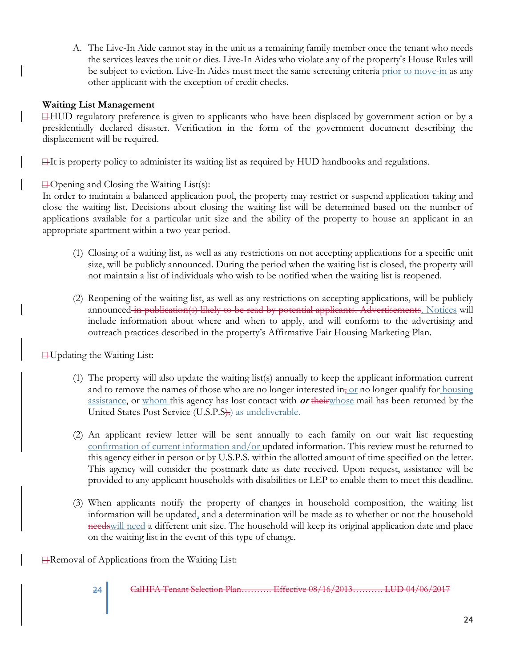A. The Live-In Aide cannot stay in the unit as a remaining family member once the tenant who needs the services leaves the unit or dies. Live-In Aides who violate any of the property's House Rules will be subject to eviction. Live-In Aides must meet the same screening criteria prior to move-in as any other applicant with the exception of credit checks.

#### **Waiting List Management**

HUD regulatory preference is given to applicants who have been displaced by government action or by a presidentially declared disaster. Verification in the form of the government document describing the displacement will be required.

 $\exists$ It is property policy to administer its waiting list as required by HUD handbooks and regulations.

 $\Box$  Opening and Closing the Waiting List(s):

In order to maintain a balanced application pool, the property may restrict or suspend application taking and close the waiting list. Decisions about closing the waiting list will be determined based on the number of applications available for a particular unit size and the ability of the property to house an applicant in an appropriate apartment within a two-year period.

- (1) Closing of a waiting list, as well as any restrictions on not accepting applications for a specific unit size, will be publicly announced. During the period when the waiting list is closed, the property will not maintain a list of individuals who wish to be notified when the waiting list is reopened.
- (2) Reopening of the waiting list, as well as any restrictions on accepting applications, will be publicly announced in publication(s) likely to be read by potential applicants. Advertisements. Notices will include information about where and when to apply, and will conform to the advertising and outreach practices described in the property's Affirmative Fair Housing Marketing Plan.

 $\Box$  Updating the Waiting List:

- (1) The property will also update the waiting list(s) annually to keep the applicant information current and to remove the names of those who are no longer interested in<sub> $\tau$ </sub> or no longer qualify for housing assistance, or whom this agency has lost contact with **or** theirwhose mail has been returned by the United States Post Service (U.S.P.S).) as undeliverable.
- (2) An applicant review letter will be sent annually to each family on our wait list requesting confirmation of current information and/or updated information. This review must be returned to this agency either in person or by U.S.P.S. within the allotted amount of time specified on the letter. This agency will consider the postmark date as date received. Upon request, assistance will be provided to any applicant households with disabilities or LEP to enable them to meet this deadline.
- (3) When applicants notify the property of changes in household composition, the waiting list information will be updated, and a determination will be made as to whether or not the household needswill need a different unit size. The household will keep its original application date and place on the waiting list in the event of this type of change.

**⊟Removal of Applications from the Waiting List:** 

24 **CalHFA Tenant Selection Plan……….. Effective 08/16/2013**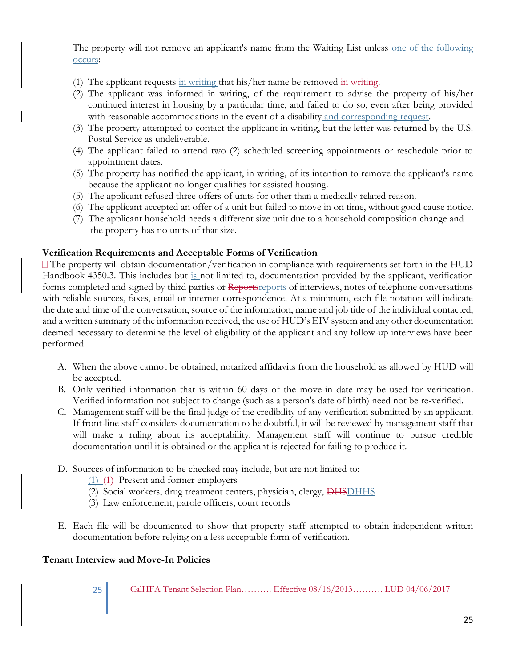The property will not remove an applicant's name from the Waiting List unless one of the following occurs:

- (1) The applicant requests in writing that his/her name be removed in writing.
- (2) The applicant was informed in writing, of the requirement to advise the property of his/her continued interest in housing by a particular time, and failed to do so, even after being provided with reasonable accommodations in the event of a disability and corresponding request.
- (3) The property attempted to contact the applicant in writing, but the letter was returned by the U.S. Postal Service as undeliverable.
- (4) The applicant failed to attend two (2) scheduled screening appointments or reschedule prior to appointment dates.
- (5) The property has notified the applicant, in writing, of its intention to remove the applicant's name because the applicant no longer qualifies for assisted housing.
- (5) The applicant refused three offers of units for other than a medically related reason.
- (6) The applicant accepted an offer of a unit but failed to move in on time, without good cause notice.
- (7) The applicant household needs a different size unit due to a household composition change and the property has no units of that size.

#### **Verification Requirements and Acceptable Forms of Verification**

 $\exists$  The property will obtain documentation/verification in compliance with requirements set forth in the HUD Handbook 4350.3. This includes but is not limited to, documentation provided by the applicant, verification forms completed and signed by third parties or Reports reports of interviews, notes of telephone conversations with reliable sources, faxes, email or internet correspondence. At a minimum, each file notation will indicate the date and time of the conversation, source of the information, name and job title of the individual contacted, and a written summary of the information received, the use of HUD's EIV system and any other documentation deemed necessary to determine the level of eligibility of the applicant and any follow-up interviews have been performed.

- A. When the above cannot be obtained, notarized affidavits from the household as allowed by HUD will be accepted.
- B. Only verified information that is within 60 days of the move-in date may be used for verification. Verified information not subject to change (such as a person's date of birth) need not be re-verified.
- C. Management staff will be the final judge of the credibility of any verification submitted by an applicant. If front-line staff considers documentation to be doubtful, it will be reviewed by management staff that will make a ruling about its acceptability. Management staff will continue to pursue credible documentation until it is obtained or the applicant is rejected for failing to produce it.
- D. Sources of information to be checked may include, but are not limited to:
	- $(1)$   $(1)$  Present and former employers
	- (2) Social workers, drug treatment centers, physician, clergy, DHSDHHS
	- (3) Law enforcement, parole officers, court records
- E. Each file will be documented to show that property staff attempted to obtain independent written documentation before relying on a less acceptable form of verification.

#### **Tenant Interview and Move-In Policies**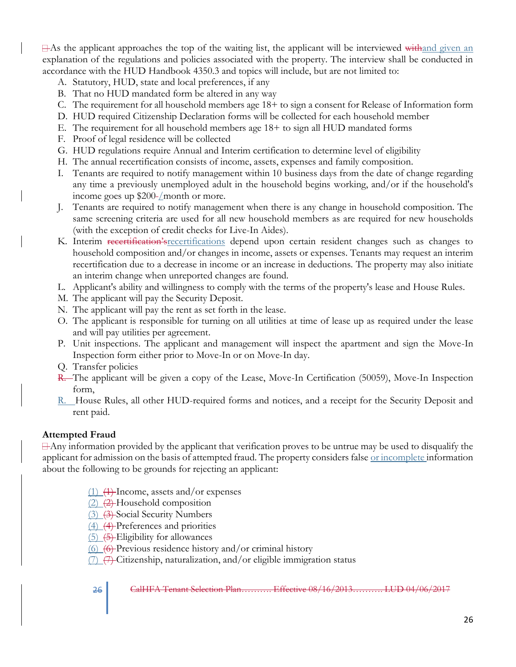$\exists$ As the applicant approaches the top of the waiting list, the applicant will be interviewed withand given an explanation of the regulations and policies associated with the property. The interview shall be conducted in accordance with the HUD Handbook 4350.3 and topics will include, but are not limited to:

- A. Statutory, HUD, state and local preferences, if any
- B. That no HUD mandated form be altered in any way
- C. The requirement for all household members age 18+ to sign a consent for Release of Information form
- D. HUD required Citizenship Declaration forms will be collected for each household member
- E. The requirement for all household members age 18+ to sign all HUD mandated forms
- F. Proof of legal residence will be collected
- G. HUD regulations require Annual and Interim certification to determine level of eligibility
- H. The annual recertification consists of income, assets, expenses and family composition.
- I. Tenants are required to notify management within 10 business days from the date of change regarding any time a previously unemployed adult in the household begins working, and/or if the household's income goes up  $$200$ -/month or more.
- J. Tenants are required to notify management when there is any change in household composition. The same screening criteria are used for all new household members as are required for new households (with the exception of credit checks for Live-In Aides).
- K. Interim recertification's recertifications depend upon certain resident changes such as changes to household composition and/or changes in income, assets or expenses. Tenants may request an interim recertification due to a decrease in income or an increase in deductions. The property may also initiate an interim change when unreported changes are found.
- L. Applicant's ability and willingness to comply with the terms of the property's lease and House Rules.
- M. The applicant will pay the Security Deposit.
- N. The applicant will pay the rent as set forth in the lease.
- O. The applicant is responsible for turning on all utilities at time of lease up as required under the lease and will pay utilities per agreement.
- P. Unit inspections. The applicant and management will inspect the apartment and sign the Move-In Inspection form either prior to Move-In or on Move-In day.
- Q. Transfer policies
- R. The applicant will be given a copy of the Lease, Move-In Certification (50059), Move-In Inspection form,
- R. House Rules, all other HUD-required forms and notices, and a receipt for the Security Deposit and rent paid.

#### **Attempted Fraud**

Any information provided by the applicant that verification proves to be untrue may be used to disqualify the applicant for admission on the basis of attempted fraud. The property considers false <u>or incomplete</u> information about the following to be grounds for rejecting an applicant:

- $(1)$   $(1)$  Income, assets and/or expenses
- $(2)$   $(2)$  Household composition
- (3) (3) Social Security Numbers
- (4) (4) Preferences and priorities
- $(5)$   $(5)$  Eligibility for allowances
- $(6)$   $(6)$  Previous residence history and/or criminal history

 $(7)$   $(7)$  Citizenship, naturalization, and/or eligible immigration status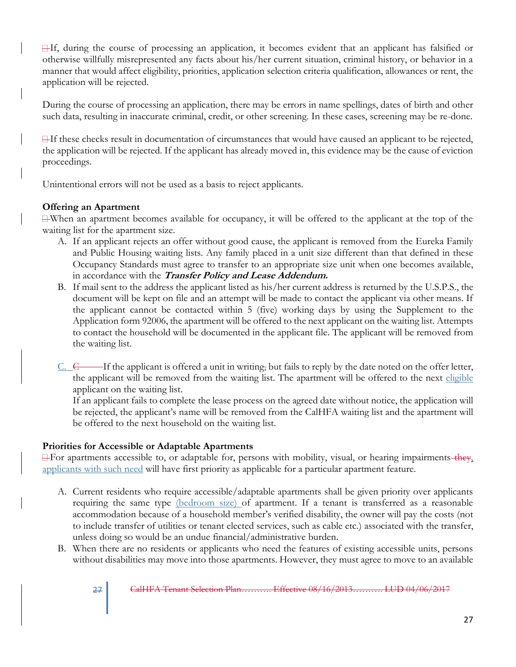If, during the course of processing an application, it becomes evident that an applicant has falsified or otherwise willfully misrepresented any facts about his/her current situation, criminal history, or behavior in a manner that would affect eligibility, priorities, application selection criteria qualification, allowances or rent, the application will be rejected.

During the course of processing an application, there may be errors in name spellings, dates of birth and other such data, resulting in inaccurate criminal, credit, or other screening. In these cases, screening may be re-done.

 $\exists$ If these checks result in documentation of circumstances that would have caused an applicant to be rejected, the application will be rejected. If the applicant has already moved in, this evidence may be the cause of eviction proceedings.

Unintentional errors will not be used as a basis to reject applicants.

#### **Offering an Apartment**

When an apartment becomes available for occupancy, it will be offered to the applicant at the top of the waiting list for the apartment size.

- A. If an applicant rejects an offer without good cause, the applicant is removed from the Eureka Family and Public Housing waiting lists. Any family placed in a unit size different than that defined in these Occupancy Standards must agree to transfer to an appropriate size unit when one becomes available, in accordance with the **Transfer Policy and Lease Addendum.**
- B. If mail sent to the address the applicant listed as his/her current address is returned by the U.S.P.S., the document will be kept on file and an attempt will be made to contact the applicant via other means. If the applicant cannot be contacted within 5 (five) working days by using the Supplement to the Application form 92006, the apartment will be offered to the next applicant on the waiting list. Attempts to contact the household will be documented in the applicant file. The applicant will be removed from the waiting list.
- $C. \quad C$  If the applicant is offered a unit in writing, but fails to reply by the date noted on the offer letter, the applicant will be removed from the waiting list. The apartment will be offered to the next eligible applicant on the waiting list.

If an applicant fails to complete the lease process on the agreed date without notice, the application will be rejected, the applicant's name will be removed from the CalHFA waiting list and the apartment will be offered to the next household on the waiting list.

#### **Priorities for Accessible or Adaptable Apartments**

 $\Box$  For apartments accessible to, or adaptable for, persons with mobility, visual, or hearing impairments they, applicants with such need will have first priority as applicable for a particular apartment feature.

- A. Current residents who require accessible/adaptable apartments shall be given priority over applicants requiring the same type (bedroom size) of apartment. If a tenant is transferred as a reasonable accommodation because of a household member's verified disability, the owner will pay the costs (not to include transfer of utilities or tenant elected services, such as cable etc.) associated with the transfer, unless doing so would be an undue financial/administrative burden.
- B. When there are no residents or applicants who need the features of existing accessible units, persons without disabilities may move into those apartments. However, they must agree to move to an available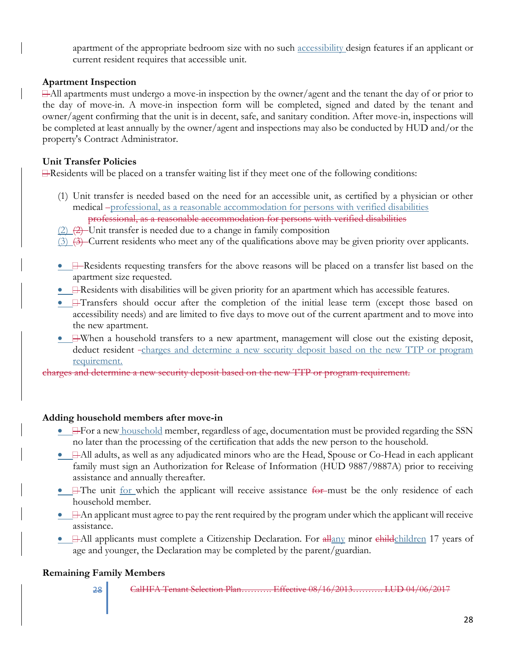apartment of the appropriate bedroom size with no such accessibility design features if an applicant or current resident requires that accessible unit.

#### **Apartment Inspection**

 $\exists$ -All apartments must undergo a move-in inspection by the owner/agent and the tenant the day of or prior to the day of move-in. A move-in inspection form will be completed, signed and dated by the tenant and owner/agent confirming that the unit is in decent, safe, and sanitary condition. After move-in, inspections will be completed at least annually by the owner/agent and inspections may also be conducted by HUD and/or the property's Contract Administrator.

#### **Unit Transfer Policies**

 $\Box$  Residents will be placed on a transfer waiting list if they meet one of the following conditions:

- (1) Unit transfer is needed based on the need for an accessible unit, as certified by a physician or other medical -professional, as a reasonable accommodation for persons with verified disabilities professional, as a reasonable accommodation for persons with verified disabilities
- $(2)$   $(2)$  Unit transfer is needed due to a change in family composition
- $(3)$   $(3)$  Current residents who meet any of the qualifications above may be given priority over applicants.
- **H**-Residents requesting transfers for the above reasons will be placed on a transfer list based on the apartment size requested.
- $\bullet$   $\Box$  Residents with disabilities will be given priority for an apartment which has accessible features.
- **HTansfers** should occur after the completion of the initial lease term (except those based on accessibility needs) and are limited to five days to move out of the current apartment and to move into the new apartment.
- $\Box$ When a household transfers to a new apartment, management will close out the existing deposit, deduct resident -charges and determine a new security deposit based on the new TTP or program requirement.

charges and determine a new security deposit based on the new TTP or program requirement.

#### **Adding household members after move-in**

- $\Box$  For a new household member, regardless of age, documentation must be provided regarding the SSN no later than the processing of the certification that adds the new person to the household.
- All adults, as well as any adjudicated minors who are the Head, Spouse or Co-Head in each applicant family must sign an Authorization for Release of Information (HUD 9887/9887A) prior to receiving assistance and annually thereafter.
- **H**The unit for which the applicant will receive assistance for must be the only residence of each household member.
- $\bullet$   $\Box$  An applicant must agree to pay the rent required by the program under which the applicant will receive assistance.
- $\Box$  All applicants must complete a Citizenship Declaration. For  $\frac{\text{d} \text{H} \text{m}}{\text{d} \text{m}}$  minor  $\frac{\text{d} \text{d} \text{d} \text{d} \text{r}}{\text{d} \text{m}}$  17 years of age and younger, the Declaration may be completed by the parent/guardian.

#### **Remaining Family Members**

28 CalHFA Tenant Selection Plan………. Effective 08/16/2013………. LUD 04/06/2017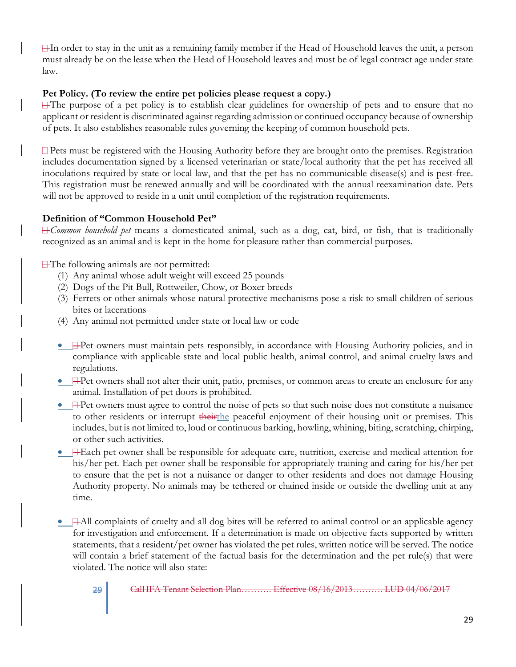$\Box$ In order to stay in the unit as a remaining family member if the Head of Household leaves the unit, a person must already be on the lease when the Head of Household leaves and must be of legal contract age under state law.

#### **Pet Policy. (To review the entire pet policies please request a copy.)**

 $\exists$  The purpose of a pet policy is to establish clear guidelines for ownership of pets and to ensure that no applicant or resident is discriminated against regarding admission or continued occupancy because of ownership of pets. It also establishes reasonable rules governing the keeping of common household pets.

Pets must be registered with the Housing Authority before they are brought onto the premises. Registration includes documentation signed by a licensed veterinarian or state/local authority that the pet has received all inoculations required by state or local law, and that the pet has no communicable disease(s) and is pest-free. This registration must be renewed annually and will be coordinated with the annual reexamination date. Pets will not be approved to reside in a unit until completion of the registration requirements.

## **Definition of "Common Household Pet"**

*Common household pet* means a domesticated animal, such as a dog, cat, bird, or fish, that is traditionally recognized as an animal and is kept in the home for pleasure rather than commercial purposes.

The following animals are not permitted:

- (1) Any animal whose adult weight will exceed 25 pounds
- (2) Dogs of the Pit Bull, Rottweiler, Chow, or Boxer breeds
- (3) Ferrets or other animals whose natural protective mechanisms pose a risk to small children of serious bites or lacerations
- (4) Any animal not permitted under state or local law or code
- $\Box$  Pet owners must maintain pets responsibly, in accordance with Housing Authority policies, and in compliance with applicable state and local public health, animal control, and animal cruelty laws and regulations.
- $\Box$  Pet owners shall not alter their unit, patio, premises, or common areas to create an enclosure for any animal. Installation of pet doors is prohibited.
- $\Box$  Pet owners must agree to control the noise of pets so that such noise does not constitute a nuisance to other residents or interrupt theirthe peaceful enjoyment of their housing unit or premises. This includes, but is not limited to, loud or continuous barking, howling, whining, biting, scratching, chirping, or other such activities.
- $\Box$  Each pet owner shall be responsible for adequate care, nutrition, exercise and medical attention for his/her pet. Each pet owner shall be responsible for appropriately training and caring for his/her pet to ensure that the pet is not a nuisance or danger to other residents and does not damage Housing Authority property. No animals may be tethered or chained inside or outside the dwelling unit at any time.
- $\Box$  All complaints of cruelty and all dog bites will be referred to animal control or an applicable agency for investigation and enforcement. If a determination is made on objective facts supported by written statements, that a resident/pet owner has violated the pet rules, written notice will be served. The notice will contain a brief statement of the factual basis for the determination and the pet rule(s) that were violated. The notice will also state:
	-

<sup>29</sup> CalHFA Tenant Selection Plan………. Effective 08/16/2013………. LUD 04/06/2017